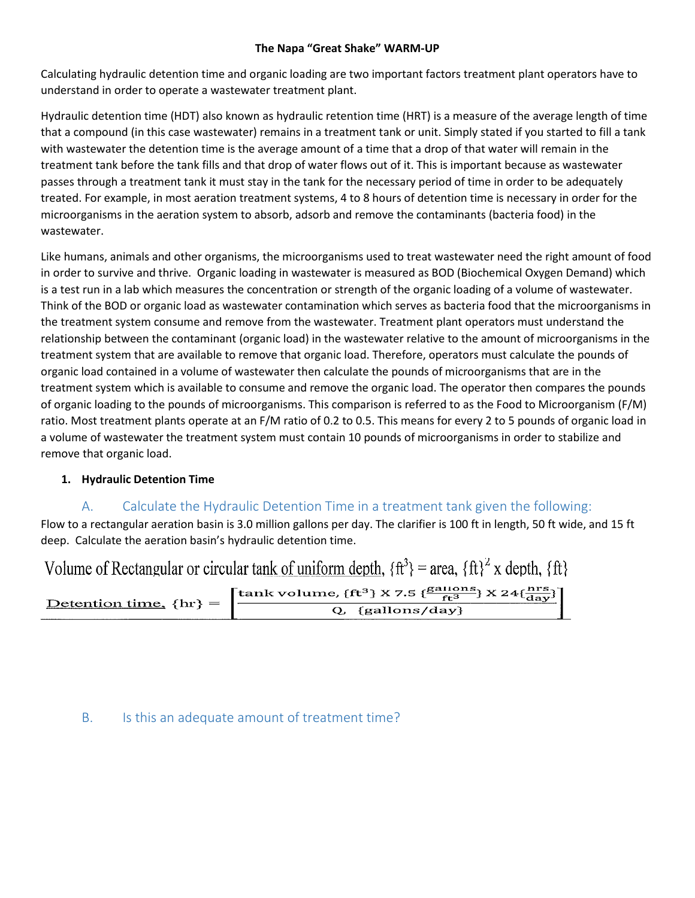#### **The Napa "Great Shake" WARM-UP**

Calculating hydraulic detention time and organic loading are two important factors treatment plant operators have to understand in order to operate a wastewater treatment plant.

Hydraulic detention time (HDT) also known as hydraulic retention time (HRT) is a measure of the average length of time that a compound (in this case wastewater) remains in a treatment tank or unit. Simply stated if you started to fill a tank with wastewater the detention time is the average amount of a time that a drop of that water will remain in the treatment tank before the tank fills and that drop of water flows out of it. This is important because as wastewater passes through a treatment tank it must stay in the tank for the necessary period of time in order to be adequately treated. For example, in most aeration treatment systems, 4 to 8 hours of detention time is necessary in order for the microorganisms in the aeration system to absorb, adsorb and remove the contaminants (bacteria food) in the wastewater.

Like humans, animals and other organisms, the microorganisms used to treat wastewater need the right amount of food in order to survive and thrive. Organic loading in wastewater is measured as BOD (Biochemical Oxygen Demand) which is a test run in a lab which measures the concentration or strength of the organic loading of a volume of wastewater. Think of the BOD or organic load as wastewater contamination which serves as bacteria food that the microorganisms in the treatment system consume and remove from the wastewater. Treatment plant operators must understand the relationship between the contaminant (organic load) in the wastewater relative to the amount of microorganisms in the treatment system that are available to remove that organic load. Therefore, operators must calculate the pounds of organic load contained in a volume of wastewater then calculate the pounds of microorganisms that are in the treatment system which is available to consume and remove the organic load. The operator then compares the pounds of organic loading to the pounds of microorganisms. This comparison is referred to as the Food to Microorganism (F/M) ratio. Most treatment plants operate at an F/M ratio of 0.2 to 0.5. This means for every 2 to 5 pounds of organic load in a volume of wastewater the treatment system must contain 10 pounds of microorganisms in order to stabilize and remove that organic load.

## **1. Hydraulic Detention Time**

## A. Calculate the Hydraulic Detention Time in a treatment tank given the following:

Flow to a rectangular aeration basin is 3.0 million gallons per day. The clarifier is 100 ft in length, 50 ft wide, and 15 ft deep. Calculate the aeration basin's hydraulic detention time.

| Volume of Rectangular or circular tank of uniform depth, $\{ft^3\}$ = area, $\{ft\}^2$ x depth, $\{ft\}$ |                                                                                                                                                                           |
|----------------------------------------------------------------------------------------------------------|---------------------------------------------------------------------------------------------------------------------------------------------------------------------------|
| Detention time, $\{hr\}$ =                                                                               | $\left[\frac{\tanh{\rm volume,\{ft^3\}}\times 7.5\;\{\frac{\text{gaulons}}{\text{ft}^3}\}\times 24\{\frac{\text{nrs}}{\text{day}}\}}{Q\;\;\{\text{gallons/day}\}}\right]$ |

## B. Is this an adequate amount of treatment time?